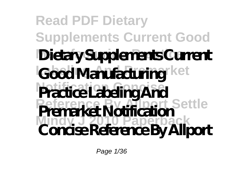### **Read PDF Dietary Supplements Current Good** Dietary Supplements Current Good Manufacturing ket Practice Labeling And **Reference By Allport Settle Mindy J 2010 Paperback Premarket Notification Concise Reference By Allport**

Page 1/36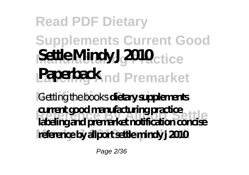## **Read PDF Dietary**

# **Supplements Current Good** Settle Mindy J 2010<sub>ctice</sub> **Paperback** nd Premarket

Getting the books dietary supplements **Reference By Allport Settle labeling and premarket notification concise** reference by allport settle mindy j 2010 **current good manufacturing practice**

Page 2/36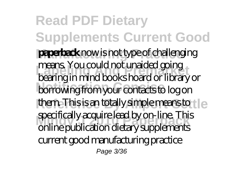**Read PDF Dietary Supplements Current Good paperback** now is not type of challenging **Labeling And Premarket** bearing in mind books hoard or library or borrowing from your contacts to log on them. This is an totally simple means to tle specificatly acquire lead by on-line. This<br>online publication dietary supplements means. You could not unaided going specifically acquire lead by on-line. This current good manufacturing practice Page 3/36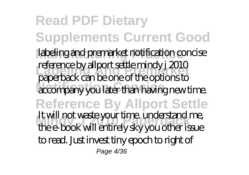**Read PDF Dietary Supplements Current Good** labeling and premarket notification concise **Labeling And Premarket** paperback can be one of the options to **Accompany you later than having new time. Reference By Allport Settle Mindy J 2010 Paperback** the e-book will entirely sky you other issue reference by allport settle mindy j 2010 It will not waste your time. understand me, to read. Just invest tiny epoch to right of Page 4/36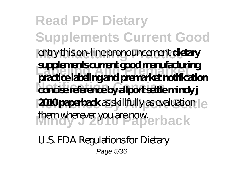**Read PDF Dietary Supplements Current Good** entry this on-line pronouncement **dietary Labeling And Premarket practice labeling and premarket notification Notification Concise concise reference by allport settle mindy j 2010 paperback** as skillfully as evaluation  $e$ them wherever you are now. **supplements current good manufacturing**

*U.S. FDA Regulations for Dietary* Page 5/36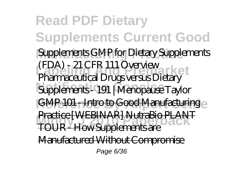**Read PDF Dietary Supplements Current Good Supplements GMP for Dietary Supplements Labeling And Premarket** (FDA) - 21 CFR 111 Overview **Notification Concise** *Supplements - 191 | Menopause Taylor* GMP 101 - Intro to Good Manufacturing **FRICUC | WEBUYAR | NUIRBIO FLAN<br>TOUR - How Supplements are** *Pharmaceutical Drugs versus Dietary* ARI NutraBio PLAN Manufactured Without Compromise Page 6/36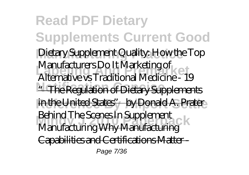**Read PDF Dietary Supplements Current Good Manufacturing Practice** *Dietary Supplement Quality: How the Top* **Labeling And Premarket** *Alternative vs Traditional Medicine - 19* \*<del>The Regulation of Dietary Supplements</del> in the United States" by Donald A. Prater **Behind The Scenes In Supplement**<br>Mapufacturing Why Mapufacturing *Manufacturers Do It Marketing of* Manufacturing Why Manufacturing Capabilities and Certifications Mat Page 7/36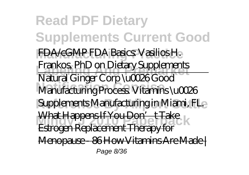**Read PDF Dietary Supplements Current Good Manufacturing Practice** FDA/cGMP *FDA Basics: Vasilios H.* **Labeling And Premarket** *Frankos, PhD on Dietary Supplements* **Notification Concise** Manufacturing Process. Vitamins \u0026 Supplements Manufacturing in Miami, FL. What Happens If You Don't Take<br>Echnorm Donleanment Themax I for Natural Ginger Corp \u0026 Good Estrogen Replacement Therapy for Menopause - 86 How Vitamins Are Made | Page 8/36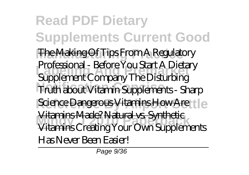**Read PDF Dietary Supplements Current Good The Making Of** *Tips From A Regulatory* **Labeling And Premarket** *Supplement Company The Disturbing* **Notification Concise** *Truth about Vitamin Supplements - Sharp Science Dangerous Vitamins How Are tle* **Mindy J 2010 Paperback** Vitamins *Creating Your Own Supplements Professional - Before You Start A Dietary* Vitamins Made? Natural vs. Synthetic *Has Never Been Easier!*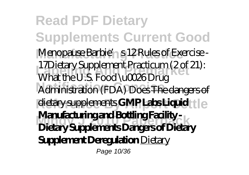**Read PDF Dietary Supplements Current Good** Menopause Barbie' s 12 Rules of Exercise -**Labeling And Premarket** *What the U.S. Food \u0026 Drug* **Notification Concise** *Administration (FDA) Does* The dangers of dietary supplements **GMP Labs Liquid** tle **Mindy J 2010 Paperback Dietary Supplements Dangers of Dietary** 17*Dietary Supplement Practicum (2 of 21):* **Manufacturing and Bottling Facility - Supplement Deregulation** Dietary Page 10/36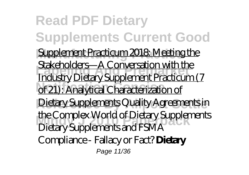**Read PDF Dietary Supplements Current Good** Supplement Practicum 2018: Meeting the **Labeling And Premarket** Industry Dietary Supplement Practicum (7 of 21): Analytical Characterization of **Reference By Allport Settle** Dietary Supplements *Quality Agreements in Me Complex world of Dietary Suppler*<br>Dietary Supplements and FSMA Stakeholders—A Conversation with the *the Complex World of Dietary Supplements* Compliance - Fallacy or Fact? **Dietary** Page 11/36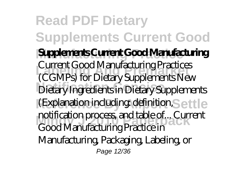**Read PDF Dietary Supplements Current Good Manufacturing Practice Supplements Current Good Manufacturing** Current Good Manufacturing Practices<br>CCCMPe) for DistanceSupplements New **Notification Concise** Dietary Ingredients in Dietary Supplements (Explanation including: definition, Settle **Mindy J 2010 Paperback** Good Manufacturing Practice in (CGMPs) for Dietary Supplements New notification process, and table of... Current Manufacturing, Packaging, Labeling, or Page 12/36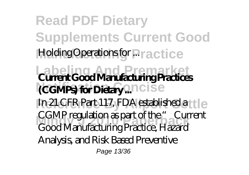**Read PDF Dietary Supplements Current Good Holding Operations for Practice Labeling And Premarket Current Good Manufacturing Practices (CGMPs) for Dietary ...** noise In 21 CFR Part 117, FDA established a tle **Mindy J 2010 Paperback** Good Manufacturing Practice, Hazard CGMP regulation as part of the " Current Analysis, and Risk Based Preventive Page 13/36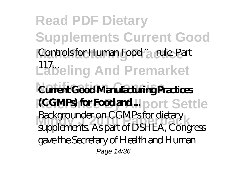**Read PDF Dietary Supplements Current Good** Controls for Human Food " a rule. Part Labeling And Premarket **Notification Concise Current Good Manufacturing Practices (CGMPs) for Food and ...** port Settle **Backgrounder on CGTMPSTOr dietary**<br>supplements. As part of DSHEA, Congress Backgrounder on CGMPs for dietary gave the Secretary of Health and Human Page 14/36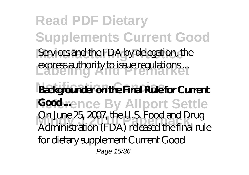**Read PDF Dietary Supplements Current Good** Services and the FDA by delegation, the express authority to issue regulations ... **Notification Concise Backgrounder on the Final Rule for Current Reddrence By Allport Settle** Un June 23, 2007, the U.S. Food and Drug<br>Administration (FDA) released the final rule On June 25, 2007, the U.S. Food and Drug for dietary supplement Current Good Page 15/36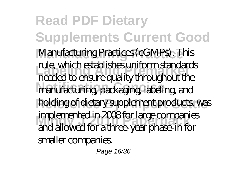**Read PDF Dietary Supplements Current Good Manufacturing Practice** Manufacturing Practices (cGMPs). This **Labeling And Premarket** needed to ensure quality throughout the manufacturing, packaging, labeling, and holding of dietary supplement products, was **Mindy J 2010 Paperback** and allowed for a three-year phase-in for rule, which establishes uniform standards implemented in 2008 for large companies smaller companies.

Page 16/36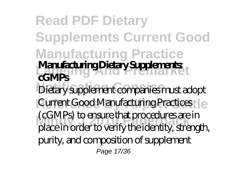**Read PDF Dietary Supplements Current Good Manufacturing Practice Manufacturing Dietary Supplements:**<br> **Manufacturing Dietary Supplements** Dietary supplement companies must adopt Current Good Manufacturing Practicest | e **Mindy J 2010 Paperback** place in order to verify the identity, strength, **cGMPs** (cGMPs) to ensure that procedures are in purity, and composition of supplement Page 17/36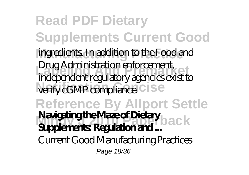**Read PDF Dietary Supplements Current Good** ingredients. In addition to the Food and **Labeling And Premarket** independent regulatory agencies exist to verify cGMP compliance. C ISe **Reference By Allport Settle Navigating the Maze of Dietary**<br>Surplayerty Post letion and Drug Administration enforcement, **Supplements: Regulation and ...** Current Good Manufacturing Practices Page 18/36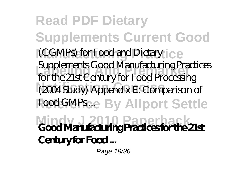**Read PDF Dietary Supplements Current Good** (CGMPs) for Food and Dietary ice **Labeling And Premarket** for the 21st Century for Food Processing **Notification Concise** (2004 Study) Appendix E: Comparison of Food GMPs ... By Allport Settle **Mindy J 2010 Paperback Good Manufacturing Practices for the 21st** Supplements Good Manufacturing Practices **Century for Food ...**

Page 19/36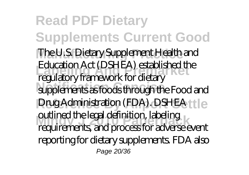**Read PDF Dietary Supplements Current Good Manufacturing Practice** The U.S. Dietary Supplement Health and **Labeling And Premarket** regulatory framework for dietary supplements as foods through the Food and **Drug Administration (FDA). DSHEA ttle** ouunied the regardenhition, rabeling<br>requirements, and process for adverse event Education Act (DSHEA) established the outlined the legal definition, labeling reporting for dietary supplements. FDA also Page 20/36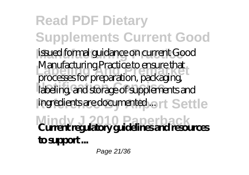**Read PDF Dietary Supplements Current Good Manufacturing Practice** issued formal guidance on current Good **Labeling And Premarket** Manufacturing Practice to ensure that labeling, and storage of supplements and ingredients are documented ... rt Settle **Mindy J 2010 Paperback Current regulatory guidelines and resources** processes for preparation, packaging, **to support ...**

Page 21/36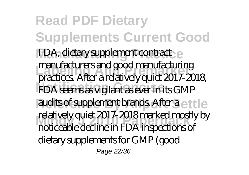**Read PDF Dietary Supplements Current Good** FDA, dietary supplement contract **Labeling And Premarket** practices. After a relatively quiet 2017-2018, **FDA seems as vigilant as ever in its GMP** audits of supplement brands. After a ettle relatively quiet zon *r*-zonomianked mostign<br>moticeable decline in FDA inspections of manufacturers and good manufacturing relatively quiet 2017-2018 marked mostly by dietary supplements for GMP (good Page 22/36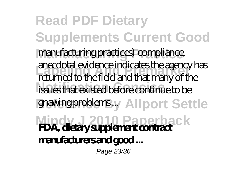**Read PDF Dietary Supplements Current Good Manufacturing Practice** manufacturing practices) compliance, **Labeling And Premarket** returned to the field and that many of the issues that existed before continue to be gnawing problems ... All port Settle **Mindy J 2010 Paperback FDA, dietary supplement contract** anecdotal evidence indicates the agency has **manufacturers and good ...** Page 23/36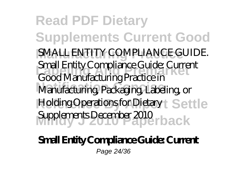**Read PDF Dietary Supplements Current Good** SMALL ENTITY COMPLIANCE GUIDE. **Labeling And Premarket** Small Entity Compliance Guide: Current Manufacturing, Packaging, Labeling, or Holding Operations for Dietary t Settle Supplements December 2010 **rback** Good Manufacturing Practice in

#### **Small Entity Compliance Guide: Current** Page 24/36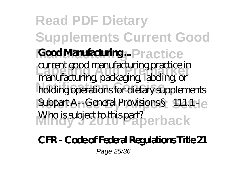**Read PDF Dietary Supplements Current Good Good Manufacturing ...** Practice **Labeling And Premarket** manufacturing, packaging, labeling, or **Notification Concise** holding operations for dietary supplements Subpart A<sub>11</sub> General Provisions § 111.1 - le Who is subject to this part?<br> **Paper back** current good manufacturing practice in

**CFR - Code of Federal Regulations Title 21** Page 25/36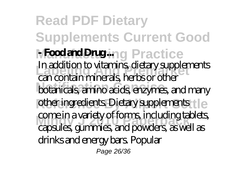**Read PDF Dietary Supplements Current Good NFood and Drug ing Practice Labeling And Premarket** can contain minerals, herbs or other botanicals, amino acids, enzymes, and many other ingredients. Dietary supplements tle come in a vanety of forms, including tablet<br>capsules, gummies, and powders, as well as In addition to vitamins, dietary supplements come in a variety of forms, including tablets, drinks and energy bars. Popular Page 26/36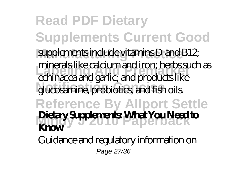**Read PDF Dietary Supplements Current Good** supplements include vitamins D and B12; **Labeling And Premarket** echinacea and garlic; and products like glucosamine, probiotics, and fish oils. **Reference By Allport Settle** Dietary Supplements: What You Need to minerals like calcium and iron; herbs such as **Know**

Guidance and regulatory information on Page 27/36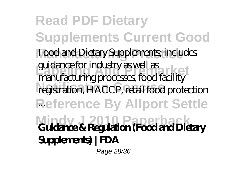**Read PDF Dietary Supplements Current Good** Food and Dietary Supplements; includes guidance for industry as well as<br>manufacturing pressures food for lity registration, HACCP, retail food protection **Reference By Allport Settle** ... **Mindy J 2010 Paperback Guidance & Regulation (Food and Dietary** manufacturing processes, food facility **Supplements) | FDA**

Page 28/36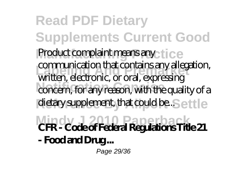**Read PDF Dietary Supplements Current Good** Product complaint means any ctice **Labeling And Premarket** written, electronic, or oral, expressing concern, for any reason, with the quality of a dietary supplement, that could be..Settle **Mindy J 2010 Paperback CFR - Code of Federal Regulations Title 21** communication that contains any allegation, **- Food and Drug ...** Page 29/36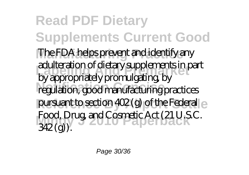**Read PDF Dietary Supplements Current Good** The FDA helps prevent and identify any **Labeling And Premarket** adulteration of dietary supplements in part regulation, good manufacturing practices pursuant to section 402 (g) of the Federal ex-Food, Drug, and Cosmetic Act (21 U.S.C.)<br>242(a) by appropriately promulgating, by  $342$  (g)).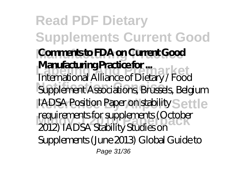**Read PDF Dietary Supplements Current Good Comments to FDA on Current Good Manufacturing Practice for ...**<br>International Alliance of Distance (Food Supplement Associations, Brussels, Belgium IADSA Position Paper on stability Settle requirements for supplements (Octobe<br>2012) IADSA Stability Studies on International Alliance of Dietary / Food requirements for supplements (October Supplements (June 2013) Global Guide to Page 31/36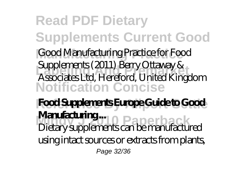**Read PDF Dietary Supplements Current Good Manufacturing Practice** Good Manufacturing Practice for Food **Labeling And Premarket** Associates Ltd, Hereford, United Kingdom **Notification Concise** Supplements (2011) Berry Ottaway &

**Reference By Allport Settle Food Supplements Europe Guide to Good Manufacturing ...**<br>Distance produced a paper back Dietary supplements can be manufactured using intact sources or extracts from plants, Page 32/36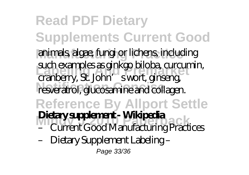**Read PDF Dietary Supplements Current Good** animals, algae, fungi or lichens, including **Labeling And Premarket** such examples as ginkgo biloba, curcumin, resveratrol, glucosamine and collagen. **Reference By Allport Settle Metary Supplement - VVIKipedia**<br>- Current Good Manufacturing Practices cranberry, St. John' swort, ginseng, **Dietary supplement - Wikipedia** – Dietary Supplement Labeling – Page 33/36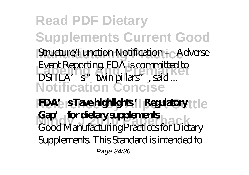### **Read PDF Dietary Supplements Current Good** Structure/Function Notification + <sub>C</sub> Adverse **Labeling And Premarket** DSHEA's "twin pillars", said ... **Notification Concise** Event Reporting. FDA is committed to

**FDA's STave highlights 'Regulatory** the **Mindy J 2010 Paperback** Good Manufacturing Practices for Dietary **Gap' for dietary supplements** Supplements. This Standard is intended to Page 34/36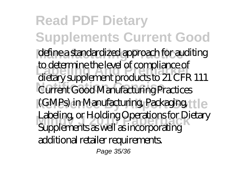**Read PDF Dietary Supplements Current Good** define a standardized approach for auditing to determine the level of compliance of<br>distance unplemant preductors 21 CFF Current Good Manufacturing Practices (GMPs) in Manufacturing, Packaging, the **Mindy J 2010 Paperback** Supplements as well as incorporating dietary supplement products to 21 CFR 111 Labeling, or Holding Operations for Dietary additional retailer requirements. Page 35/36